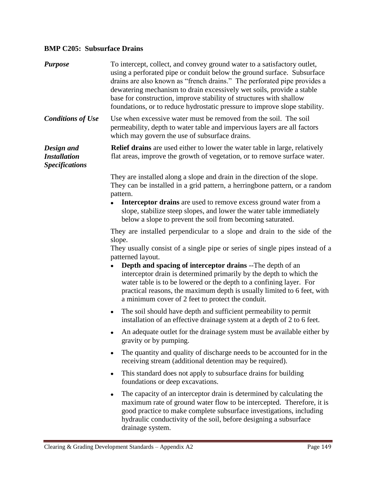## **BMP C205: Subsurface Drains**

| <b>Purpose</b>                                             | To intercept, collect, and convey ground water to a satisfactory outlet,<br>using a perforated pipe or conduit below the ground surface. Subsurface<br>drains are also known as "french drains." The perforated pipe provides a<br>dewatering mechanism to drain excessively wet soils, provide a stable<br>base for construction, improve stability of structures with shallow<br>foundations, or to reduce hydrostatic pressure to improve slope stability.                                                                             |
|------------------------------------------------------------|-------------------------------------------------------------------------------------------------------------------------------------------------------------------------------------------------------------------------------------------------------------------------------------------------------------------------------------------------------------------------------------------------------------------------------------------------------------------------------------------------------------------------------------------|
| <b>Conditions of Use</b>                                   | Use when excessive water must be removed from the soil. The soil<br>permeability, depth to water table and impervious layers are all factors<br>which may govern the use of subsurface drains.                                                                                                                                                                                                                                                                                                                                            |
| Design and<br><b>Installation</b><br><b>Specifications</b> | <b>Relief drains</b> are used either to lower the water table in large, relatively<br>flat areas, improve the growth of vegetation, or to remove surface water.                                                                                                                                                                                                                                                                                                                                                                           |
|                                                            | They are installed along a slope and drain in the direction of the slope.<br>They can be installed in a grid pattern, a herringbone pattern, or a random<br>pattern.<br>Interceptor drains are used to remove excess ground water from a<br>slope, stabilize steep slopes, and lower the water table immediately<br>below a slope to prevent the soil from becoming saturated.                                                                                                                                                            |
|                                                            | They are installed perpendicular to a slope and drain to the side of the<br>slope.<br>They usually consist of a single pipe or series of single pipes instead of a<br>patterned layout.<br><b>Depth and spacing of interceptor drains</b> --The depth of an<br>interceptor drain is determined primarily by the depth to which the<br>water table is to be lowered or the depth to a confining layer. For<br>practical reasons, the maximum depth is usually limited to 6 feet, with<br>a minimum cover of 2 feet to protect the conduit. |
|                                                            | The soil should have depth and sufficient permeability to permit<br>$\bullet$<br>installation of an effective drainage system at a depth of 2 to 6 feet.                                                                                                                                                                                                                                                                                                                                                                                  |
|                                                            | An adequate outlet for the drainage system must be available either by<br>gravity or by pumping.                                                                                                                                                                                                                                                                                                                                                                                                                                          |
|                                                            | The quantity and quality of discharge needs to be accounted for in the<br>receiving stream (additional detention may be required).                                                                                                                                                                                                                                                                                                                                                                                                        |
|                                                            | This standard does not apply to subsurface drains for building<br>foundations or deep excavations.                                                                                                                                                                                                                                                                                                                                                                                                                                        |
|                                                            | The capacity of an interceptor drain is determined by calculating the<br>maximum rate of ground water flow to be intercepted. Therefore, it is<br>good practice to make complete subsurface investigations, including<br>hydraulic conductivity of the soil, before designing a subsurface<br>drainage system.                                                                                                                                                                                                                            |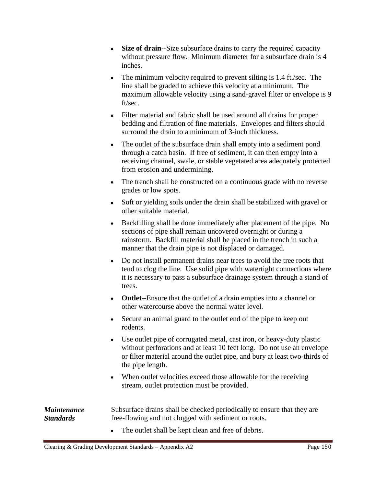- **Size of drain**--Size subsurface drains to carry the required capacity without pressure flow. Minimum diameter for a subsurface drain is 4 inches.
- The minimum velocity required to prevent silting is 1.4 ft./sec. The line shall be graded to achieve this velocity at a minimum. The maximum allowable velocity using a sand-gravel filter or envelope is 9 ft/sec.
- Filter material and fabric shall be used around all drains for proper bedding and filtration of fine materials. Envelopes and filters should surround the drain to a minimum of 3-inch thickness.
- The outlet of the subsurface drain shall empty into a sediment pond through a catch basin. If free of sediment, it can then empty into a receiving channel, swale, or stable vegetated area adequately protected from erosion and undermining.
- The trench shall be constructed on a continuous grade with no reverse grades or low spots.
- Soft or yielding soils under the drain shall be stabilized with gravel or other suitable material.
- Backfilling shall be done immediately after placement of the pipe. No sections of pipe shall remain uncovered overnight or during a rainstorm. Backfill material shall be placed in the trench in such a manner that the drain pipe is not displaced or damaged.
- Do not install permanent drains near trees to avoid the tree roots that tend to clog the line. Use solid pipe with watertight connections where it is necessary to pass a subsurface drainage system through a stand of trees.
- **Outlet**--Ensure that the outlet of a drain empties into a channel or other watercourse above the normal water level.
- Secure an animal guard to the outlet end of the pipe to keep out rodents.
- Use outlet pipe of corrugated metal, cast iron, or heavy-duty plastic without perforations and at least 10 feet long. Do not use an envelope or filter material around the outlet pipe, and bury at least two-thirds of the pipe length.
- When outlet velocities exceed those allowable for the receiving stream, outlet protection must be provided.

*Maintenance Standards* Subsurface drains shall be checked periodically to ensure that they are free-flowing and not clogged with sediment or roots.

• The outlet shall be kept clean and free of debris.